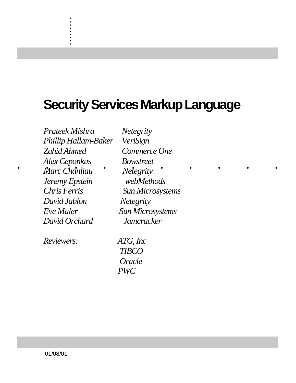## **Security Services Markup Language**

......... . *Alex Ceponkus Bowstreet Prateek Mishra Netegrity Phillip Hallam-Baker VeriSign Zahid Ahmed Commerce One Marc Chanliau Netegrity Jeremy Epstein webMethods Chris Ferris Sun Microsystems David Jablon Netegrity Eve Maler Sun Microsystems David Orchard Jamcracker*

. . . . . . . . . .

*Reviewers: ATG, Inc*

 *TIBCO Oracle PWC*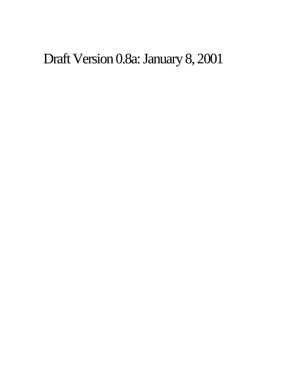# Draft Version 0.8a: January 8, 2001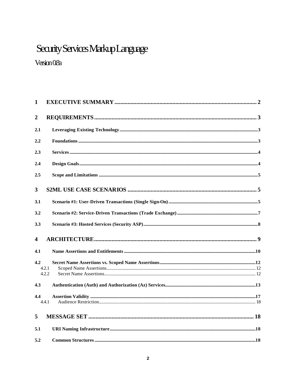### Security Services Markup Language

### Version 0.8a

| $\mathbf{1}$            |       |  |
|-------------------------|-------|--|
| $\boldsymbol{2}$        |       |  |
| 2.1                     |       |  |
| 2.2                     |       |  |
| 2.3                     |       |  |
| 2.4                     |       |  |
| 2.5                     |       |  |
| 3                       |       |  |
| 3.1                     |       |  |
| 3.2                     |       |  |
| 3.3                     |       |  |
| $\overline{\mathbf{4}}$ |       |  |
| 4.1                     |       |  |
| 4.2                     |       |  |
|                         | 4.2.1 |  |
|                         | 4.2.2 |  |
| 4.3                     |       |  |
| 4.4                     |       |  |
|                         | 4.4.1 |  |
| 5                       |       |  |
| 5.1                     |       |  |
| 5.2                     |       |  |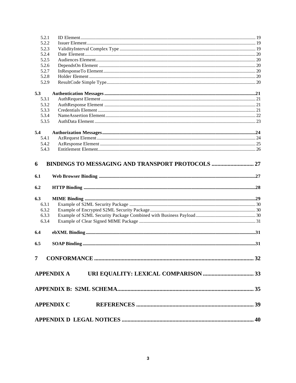| 5.2.2<br>5.2.3<br>5.2.4<br>5.2.5<br>5.2.6<br>5.2.7<br>5.2.8<br>5.2.9<br>5.3<br>5.3.1<br>5.3.2<br>5.3.3<br>5.3.4<br>5.3.5<br>5.4<br>5.4.1<br>5.4.2<br>5.4.3<br>BINDINGS TO MESSAGING AND TRANSPORT PROTOCOLS  27<br>6<br>6.1<br>6.2<br>6.3<br>6.3.1<br>6.3.2<br>6.3.3<br>6.3.4<br>6.4 |  |
|--------------------------------------------------------------------------------------------------------------------------------------------------------------------------------------------------------------------------------------------------------------------------------------|--|
|                                                                                                                                                                                                                                                                                      |  |
|                                                                                                                                                                                                                                                                                      |  |
|                                                                                                                                                                                                                                                                                      |  |
|                                                                                                                                                                                                                                                                                      |  |
|                                                                                                                                                                                                                                                                                      |  |
|                                                                                                                                                                                                                                                                                      |  |
|                                                                                                                                                                                                                                                                                      |  |
|                                                                                                                                                                                                                                                                                      |  |
|                                                                                                                                                                                                                                                                                      |  |
|                                                                                                                                                                                                                                                                                      |  |
|                                                                                                                                                                                                                                                                                      |  |
|                                                                                                                                                                                                                                                                                      |  |
|                                                                                                                                                                                                                                                                                      |  |
|                                                                                                                                                                                                                                                                                      |  |
|                                                                                                                                                                                                                                                                                      |  |
|                                                                                                                                                                                                                                                                                      |  |
|                                                                                                                                                                                                                                                                                      |  |
|                                                                                                                                                                                                                                                                                      |  |
|                                                                                                                                                                                                                                                                                      |  |
|                                                                                                                                                                                                                                                                                      |  |
|                                                                                                                                                                                                                                                                                      |  |
|                                                                                                                                                                                                                                                                                      |  |
|                                                                                                                                                                                                                                                                                      |  |
|                                                                                                                                                                                                                                                                                      |  |
|                                                                                                                                                                                                                                                                                      |  |
|                                                                                                                                                                                                                                                                                      |  |
|                                                                                                                                                                                                                                                                                      |  |
|                                                                                                                                                                                                                                                                                      |  |
| 6.5                                                                                                                                                                                                                                                                                  |  |
|                                                                                                                                                                                                                                                                                      |  |
|                                                                                                                                                                                                                                                                                      |  |
|                                                                                                                                                                                                                                                                                      |  |
|                                                                                                                                                                                                                                                                                      |  |
|                                                                                                                                                                                                                                                                                      |  |
|                                                                                                                                                                                                                                                                                      |  |
|                                                                                                                                                                                                                                                                                      |  |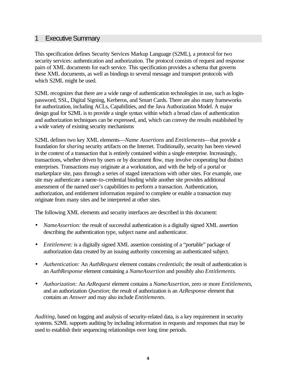#### 1 Executive Summary

This specification defines Security Services Markup Language (S2ML), a protocol for two security services: authentication and authorization. The protocol consists of request and response pairs of XML documents for each service. This specification provides a schema that governs these XML documents, as well as bindings to several message and transport protocols with which S2ML might be used.

S2ML recognizes that there are a wide range of authentication technologies in use, such as loginpassword, SSL, Digital Signing, Kerberos, and Smart Cards. There are also many frameworks for authorization, including ACLs, Capabilities, and the Java Authorization Model. A major design goal for S2ML is to provide a single syntax within which a broad class of authentication and authorization techniques can be expressed, and, which can convey the results established by a wide variety of existing security mechanisms

S2ML defines two key XML elements—*Name Assertions* and *Entitlements*—that provide a foundation for *sharing* security artifacts on the Internet. Traditionally, security has been viewed in the context of a transaction that is entirely contained within a single enterprise. Increasingly, transactions, whether driven by users or by document flow, may involve cooperating but distinct enterprises. Transactions may originate at a workstation, and with the help of a portal or marketplace site, pass through a series of staged interactions with other sites. For example, one site may authenticate a name-to-credential binding while another site provides additional assessment of the named user's capabilities to perform a transaction. Authentication, authorization, and entitlement information required to complete or enable a transaction may originate from many sites and be interpreted at other sites.

The following XML elements and security interfaces are described in this document:

- *NameAssertion:* the result of successful authentication is a digitally signed XML assertion describing the authentication type, subject name and authenticator.
- *Entitlement:* is a digitally signed XML assertion consisting of a "portable" package of authorization data created by an issuing authority concerning an authenticated subject.
- *Authentication:* An *AuthRequest* element contains *credentials*; the result of authentication is an *AuthResponse* element containing a *NameAssertion* and possibly also *Entitlements*.
- *Authorization:* An *AzRequest* element contains a *NameAssertion*, zero or more *Entitlements*, and an authorization *Question*; the result of authorization is an *AzResponse* element that contains an *Answer* and may also include *Entitlements.*

*Auditing*, based on logging and analysis of security-related data, is a key requirement in security systems. S2ML supports auditing by including information in requests and responses that may be used to establish their sequencing relationships over long time periods.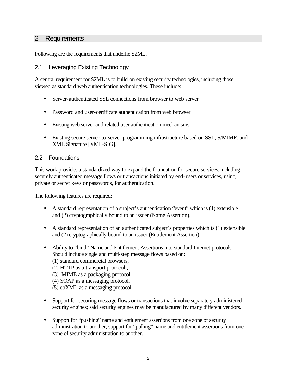#### 2 Requirements

Following are the requirements that underlie S2ML.

#### 2.1 Leveraging Existing Technology

A central requirement for S2ML is to build on existing security technologies, including those viewed as standard web authentication technologies. These include:

- Server-authenticated SSL connections from browser to web server
- Password and user-certificate authentication from web browser
- Existing web server and related user authentication mechanisms
- Existing secure server-to-server programming infrastructure based on SSL, S/MIME, and XML Signature [XML-SIG].

#### 2.2 Foundations

This work provides a standardized way to expand the foundation for secure services, including securely authenticated message flows or transactions initiated by end-users or services, using private or secret keys or passwords, for authentication.

The following features are required:

- A standard representation of a subject's authentication "event" which is (1) extensible and (2) cryptographically bound to an issuer (Name Assertion).
- A standard representation of an authenticated subject's properties which is (1) extensible and (2) cryptographically bound to an issuer (Entitlement Assertion).
- Ability to "bind" Name and Entitlement Assertions into standard Internet protocols. Should include single and multi-step message flows based on:
	- (1) standard commercial browsers,
	- (2) HTTP as a transport protocol ,
	- (3) MIME as a packaging protocol,
	- (4) SOAP as a messaging protocol,
	- (5) ebXML as a messaging protocol.
- Support for securing message flows or transactions that involve separately administered security engines; said security engines may be manufactured by many different vendors.
- Support for "pushing" name and entitlement assertions from one zone of security administration to another; support for "pulling" name and entitlement assertions from one zone of security administration to another.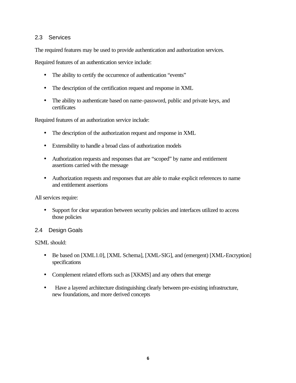#### 2.3 Services

The required features may be used to provide authentication and authorization services.

Required features of an authentication service include:

- The ability to certify the occurrence of authentication "events"
- The description of the certification request and response in XML
- The ability to authenticate based on name-password, public and private keys, and certificates

Required features of an authorization service include:

- The description of the authorization request and response in XML
- Extensibility to handle a broad class of authorization models
- Authorization requests and responses that are "scoped" by name and entitlement assertions carried with the message
- Authorization requests and responses that are able to make explicit references to name and entitlement assertions

All services require:

• Support for clear separation between security policies and interfaces utilized to access those policies

#### 2.4 Design Goals

S2ML should:

- Be based on [XML1.0], [XML Schema], [XML-SIG], and (emergent) [XML-Encryption] specifications
- Complement related efforts such as [XKMS] and any others that emerge
- Have a layered architecture distinguishing clearly between pre-existing infrastructure, new foundations, and more derived concepts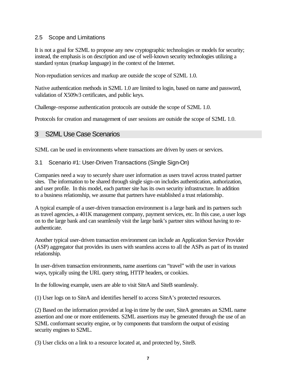#### 2.5 Scope and Limitations

It is not a goal for S2ML to propose any new cryptographic technologies or models for security; instead, the emphasis is on description and use of well-known security technologies utilizing a standard syntax (markup language) in the context of the Internet.

Non-repudiation services and markup are outside the scope of S2ML 1.0.

Native authentication methods in S2ML 1.0 are limited to login, based on name and password, validation of X509v3 certificates, and public keys.

Challenge-response authentication protocols are outside the scope of S2ML 1.0.

Protocols for creation and management of user sessions are outside the scope of S2ML 1.0.

#### 3 S2ML Use Case Scenarios

S2ML can be used in environments where transactions are driven by users or services.

#### 3.1 Scenario #1: User-Driven Transactions (Single Sign-On)

Companies need a way to securely share user information as users travel across trusted partner sites. The information to be shared through single sign-on includes authentication, authorization, and user profile. In this model, each partner site has its own security infrastructure. In addition to a business relationship, we assume that partners have established a trust relationship.

A typical example of a user-driven transaction environment is a large bank and its partners such as travel agencies, a 401K management company, payment services, etc. In this case, a user logs on to the large bank and can seamlessly visit the large bank's partner sites without having to reauthenticate.

Another typical user-driven transaction environment can include an Application Service Provider (ASP) aggregator that provides its users with seamless access to all the ASPs as part of its trusted relationship.

In user-driven transaction environments, name assertions can "travel" with the user in various ways, typically using the URL query string, HTTP headers, or cookies.

In the following example, users are able to visit SiteA and SiteB seamlessly.

(1) User logs on to SiteA and identifies herself to access SiteA's protected resources.

(2) Based on the information provided at log-in time by the user, SiteA generates an S2ML name assertion and one or more entitlements. S2ML assertions may be generated through the use of an S2ML conformant security engine, or by components that transform the output of existing security engines to S2ML.

(3) User clicks on a link to a resource located at, and protected by, SiteB.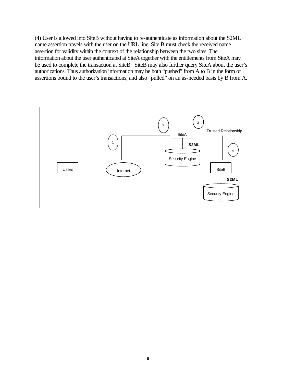(4) User is allowed into SiteB without having to re-authenticate as information about the S2ML name assertion travels with the user on the URL line. Site B must check the received name assertion for validity within the context of the relationship between the two sites. The information about the user authenticated at SiteA together with the entitlements from SiteA may be used to complete the transaction at SiteB. SiteB may also further query SiteA about the user's authorizations. Thus authorization information may be both "pushed" from A to B in the form of assertions bound to the user's transactions, and also "pulled" on an as-needed basis by B from A.

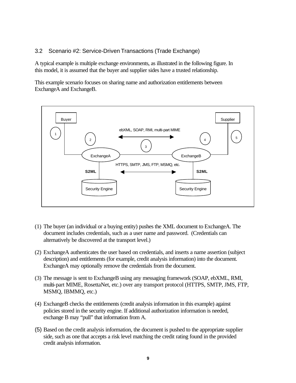#### 3.2 Scenario #2: Service-Driven Transactions (Trade Exchange)

A typical example is multiple exchange environments, as illustrated in the following figure. In this model, it is assumed that the buyer and supplier sides have a trusted relationship.

This example scenario focuses on sharing name and authorization entitlements between ExchangeA and ExchangeB.



- (1) The buyer (an individual or a buying entity) pushes the XML document to ExchangeA. The document includes credentials, such as a user name and password. (Credentials can alternatively be discovered at the transport level.)
- (2) ExchangeA authenticates the user based on credentials, and inserts a name assertion (subject description) and entitlements (for example, credit analysis information) into the document. ExchangeA may optionally remove the credentials from the document.
- (3) The message is sent to ExchangeB using any messaging framework (SOAP, ebXML, RMI, multi-part MIME, RosettaNet, etc.) over any transport protocol (HTTPS, SMTP, JMS, FTP, MSMQ, IBMMQ, etc.)
- (4) ExchangeB checks the entitlements (credit analysis information in this example) against policies stored in the security engine. If additional authorization information is needed, exchange B may "pull" that information from A.
- (5) Based on the credit analysis information, the document is pushed to the appropriate supplier side, such as one that accepts a risk level matching the credit rating found in the provided credit analysis information.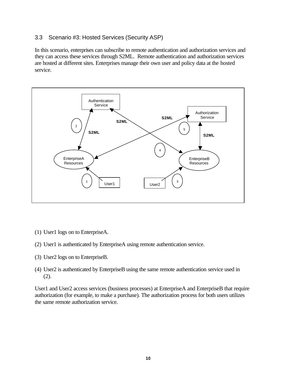#### 3.3 Scenario #3: Hosted Services (Security ASP)

In this scenario, enterprises can subscribe to remote authentication and authorization services and they can access these services through S2ML. Remote authentication and authorization services are hosted at different sites. Enterprises manage their own user and policy data at the hosted service.



- (1) User1 logs on to EnterpriseA.
- (2) User1 is authenticated by EnterpriseA using remote authentication service.
- (3) User2 logs on to EnterpriseB.
- (4) User2 is authenticated by EnterpriseB using the same remote authentication service used in (2).

User1 and User2 access services (business processes) at EnterpriseA and EnterpriseB that require authorization (for example, to make a purchase). The authorization process for both users utilizes the same remote authorization service.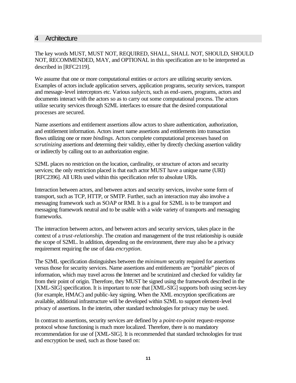#### 4 Architecture

The key words MUST, MUST NOT, REQUIRED, SHALL, SHALL NOT, SHOULD, SHOULD NOT, RECOMMENDED, MAY, and OPTIONAL in this specification are to be interpreted as described in [RFC2119].

We assume that one or more computational entities or *actors* are utilizing security services. Examples of actors include application servers, application programs, security services, transport and message-level interceptors etc. Various *subjects*, such as end-users, programs, actors and documents interact with the actors so as to carry out some computational process. The actors utilize security services through S2ML interfaces to ensure that the desired computational processes are secured.

Name assertions and entitlement assertions allow actors to share authentication, authorization, and entitlement information. Actors insert name assertions and entitlements into transaction flows utilizing one or more *bindings*. Actors complete computational processes based on *scrutinizing* assertions and determing their validity, either by directly checking assertion validity or indirectly by calling out to an authorization engine.

S2ML places no restriction on the location, cardinality, or structure of actors and security services; the only restriction placed is that each actor MUST have a unique name (URI) [RFC2396]. All URIs used within this specification refer to absolute URIs.

Interaction between actors, and between actors and security services, involve some form of transport, such as TCP, HTTP, or SMTP. Further, such an interaction may also involve a messaging framework such as SOAP or RMI. It is a goal for S2ML is to be transport and messaging framework neutral and to be usable with a wide variety of transports and messaging frameworks.

The interaction between actors, and between actors and security services, takes place in the context of a *trust-relationship*. The creation and management of the trust relationship is outside the scope of S2ML. In addition, depending on the environment, there may also be a privacy requirement requiring the use of data *encryption*.

The S2ML specification distinguishes between the *minimum* security required for assertions versus those for security services. Name assertions and entitlements are "portable" pieces of information, which may travel across the Internet and be scrutinized and checked for validity far from their point of origin. Therefore, they MUST be signed using the framework described in the [XML-SIG] specification. It is important to note that [XML-SIG] supports both using secret-key (for example, HMAC) and public-key signing. When the XML encryption specifications are available, additional infrastructure will be developed within S2ML to support element-level privacy of assertions. In the interim, other standard technologies for privacy may be used.

In contrast to assertions, security services are defined by a *point-to-point* request-response protocol whose functioning is much more localized. Therefore, there is no mandatory recommendation for use of [XML-SIG]. It is recommended that standard technologies for trust and encryption be used, such as those based on: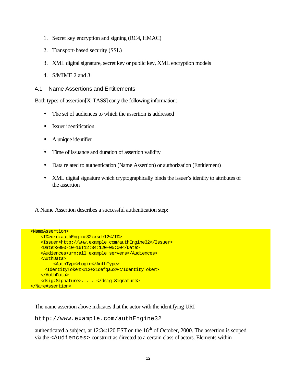- 1. Secret key encryption and signing (RC4, HMAC)
- 2. Transport-based security (SSL)
- 3. XML digital signature, secret key or public key, XML encryption models
- 4. S/MIME 2 and 3
- 4.1 Name Assertions and Entitlements

Both types of assertion[X-TASS] carry the following information:

- The set of audiences to which the assertion is addressed
- Issuer identification
- A unique identifier
- Time of issuance and duration of assertion validity
- Data related to authentication (Name Assertion) or authorization (Entitlement)
- XML digital signature which cryptographically binds the issuer's identity to attributes of the assertion

A Name Assertion describes a successful authentication step:

```
<NameAssertion>
     <ID>urn:authEngine32:xsde12</ID> 
     <Issuer>http://www.example.com/authEngine32</Issuer>
     <Date>2000-10—16T12:34:120-05:00</Date>
     <Audiences>urn:all_example_servers</Audiences> 
     <AuthData>
          <AuthType>Login</AuthType>
      <IdentityToken>x12+21defqa$3#</IdentityToken>
     </AuthData>
     <dsig:Signature>. . . </dsig:Signature> 
</NameAssertion>
```
The name assertion above indicates that the actor with the identifying URI

http://www.example.com/authEngine32

authenticated a subject, at  $12:34:120$  EST on the  $16<sup>th</sup>$  of October, 2000. The assertion is scoped via the <Audiences> construct as directed to a certain class of actors. Elements within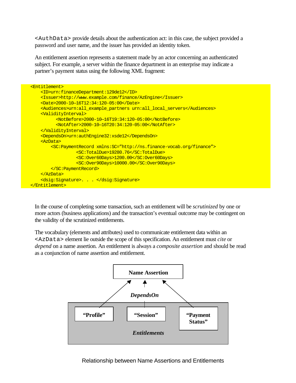<AuthData> provide details about the authentication act: in this case, the subject provided a password and user name, and the issuer has provided an identity token.

An entitlement assertion represents a statement made by an actor concerning an authenticated subject. For example, a server within the finance department in an enterprise may indicate a partner's payment status using the following XML fragment:

| <entitlement></entitlement>                                                          |
|--------------------------------------------------------------------------------------|
| <id>urn:financeDepartment:129de12</id>                                               |
| <issuer>http://www.example.com/finance/AzEngine</issuer>                             |
| $\text{}>2000-10-16T12:34:120-05:00}$                                                |
| <audiences>urn:all example partners urn:all local servers</audiences>                |
| <u><validityinterval></validityinterval></u>                                         |
| <notbefore>2000-10-16T19:34:120-05:00</notbefore>                                    |
| <notafter>2000-10-16T20:34:120-05:00</notafter>                                      |
| <u></u>                                                                              |
| <dependson>urn:authEngine32:xsde12</dependson>                                       |
| $<$ AzData>                                                                          |
| <sc:paymentrecord xmlns:sc="http://ns.finance-vocab.org/finance"></sc:paymentrecord> |
| <sc:totaldue>19280.76</sc:totaldue>                                                  |
| <sc:over60days>1200.00</sc:over60days>                                               |
| <sc:over90days>10000.00</sc:over90days>                                              |
|                                                                                      |
| $\langle$ AzData>                                                                    |
| <dsig:signature>. </dsig:signature>                                                  |
|                                                                                      |

In the course of completing some transaction, such an entitlement will be *scrutinized* by one or more actors (business applications) and the transaction's eventual outcome may be contingent on the validity of the scrutinized entitlements.

The vocabulary (elements and attributes) used to communicate entitlement data within an <AzData> element lie outside the scope of this specification. An entitlement must *cite* or *depend* on a name assertion. An entitlement is always a *composite assertion* and should be read as a conjunction of name assertion and entitlement.

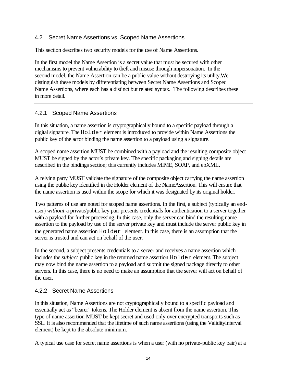#### 4.2 Secret Name Assertions vs. Scoped Name Assertions

This section describes two security models for the use of Name Assertions.

In the first model the Name Assertion is a secret value that must be secured with other mechanisms to prevent vulnerability to theft and misuse through impersonation. In the second model, the Name Assertion can be a public value without destroying its utility.We distinguish these models by differentiating between Secret Name Assertions and Scoped Name Assertions, where each has a distinct but related syntax. The following describes these in more detail.

#### 4.2.1 Scoped Name Assertions

In this situation, a name assertion is cryptographically bound to a specific payload through a digital signature. The Holder element is introduced to provide within Name Assertions the public key of the actor binding the name assertion to a payload using a signature.

A scoped name assertion MUST be combined with a payload and the resulting composite object MUST be signed by the actor's private key. The specific packaging and signing details are described in the bindings section; this currently includes MIME, SOAP, and ebXML.

A relying party MUST validate the signature of the composite object carrying the name assertion using the public key identified in the Holder element of the NameAssertion. This will ensure that the name assertion is used within the scope for which it was designated by its original holder.

Two patterns of use are noted for scoped name assertions. In the first, a subject (typically an enduser) *without* a private/public key pair presents credentials for authentication to a server together with a payload for further processing. In this case, only the server can bind the resulting name assertion to the payload by use of the server private key and must include the server public key in the generated name assertion Holder element. In this case, there is an assumption that the server is trusted and can act on behalf of the user.

In the second, a subject presents credentials to a server and receives a name assertion which includes the *subject* public key in the returned name assertion Holder element. The subject may now bind the name assertion to a payload and submit the signed package directly to other servers. In this case, there is no need to make an assumption that the server will act on behalf of the user.

#### 4.2.2 Secret Name Assertions

In this situation, Name Assertions are not cryptographically bound to a specific payload and essentially act as "bearer" tokens. The Holder element is absent from the name assertion. This type of name assertion MUST be kept secret and used only over encrypted transports such as SSL. It is also recommended that the lifetime of such name assertions (using the ValidityInterval element) be kept to the absolute minimum.

A typical use case for secret name assertions is when a user (with no private-public key pair) at a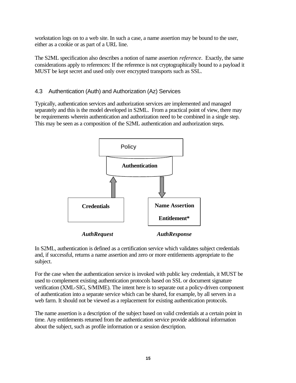workstation logs on to a web site. In such a case, a name assertion may be bound to the user, either as a cookie or as part of a URL line.

The S2ML specification also describes a notion of name assertion *reference*. Exactly, the same considerations apply to references: If the reference is not cryptographically bound to a payload it MUST be kept secret and used only over encrypted transports such as SSL.

#### 4.3 Authentication (Auth) and Authorization (Az) Services

Typically, authentication services and authorization services are implemented and managed separately and this is the model developed in S2ML. From a practical point of view, there may be requirements wherein authentication and authorization need to be combined in a single step. This may be seen as a composition of the S2ML authentication and authorization steps.



In S2ML, authentication is defined as a certification service which validates subject credentials and, if successful, returns a name assertion and zero or more entitlements appropriate to the subject.

For the case when the authentication service is invoked with public key credentials, it MUST be used to complement existing authentication protocols based on SSL or document signature verification (XML-SIG, S/MIME). The intent here is to separate out a policy-driven component of authentication into a separate service which can be shared, for example, by all servers in a web farm. It should not be viewed as a replacement for existing authentication protocols.

The name assertion is a description of the subject based on valid credentials at a certain point in time. Any entitlements returned from the authentication service provide additional information about the subject, such as profile information or a session description.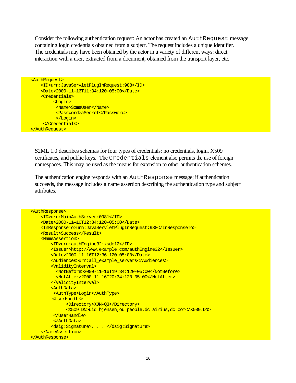Consider the following authentication request: An actor has created an AuthRequest message containing login credentials obtained from a subject. The request includes a unique identifier. The credentials may have been obtained by the actor in a variety of different ways: direct interaction with a user, extracted from a document, obtained from the transport layer, etc.

```
<AuthRequest>
     <ID>urn:JavaServletPlugInRequest:988</ID> 
     <Date>2000-11—16T11:34:120-05:00</Date>
     <Credentials>
          <Login>
           <Name>SomeUser</Name>
           <Password>aSecret</Password>
           </Login>
      </Credentials>
</AuthRequest>
```
S2ML 1.0 describes schemas for four types of credentials: no credentials, login, X509 certificates, and public keys. The Credentials element also permits the use of foreign namespaces. This may be used as the means for extension to other authentication schemes.

The authentication engine responds with an AuthResponse message; if authentication succeeds, the message includes a name assertion describing the authentication type and subject attributes.

```
<AuthResponse>
     <ID>urn:MainAuthServer:0981</ID>
     <Date>2000-11—16T12:34:120-05:00</Date>
     <InResponseTo>urn:JavaServletPlugInRequest:988</InResponseTo> 
     <Result>Success</Result>
     <NameAssertion>
         <ID>urn:authEngine32:xsde12</ID> 
         <Issuer>http://www.example.com/authEngine32</Issuer>
         <Date>2000-11—16T12:36:120-05:00</Date>
         <Audiences>urn:all_example_servers</Audiences>
         <ValidityInterval>
           <NotBefore>2000-11—16T19:34:120-05:00</NotBefore>
           <NotAfter>2000-11—16T20:34:120-05:00</NotAfter>
         </ValidityInterval> 
         <AuthData>
          <AuthType>Login</AuthType>
         <UserHandle>
               <Directory>XJN-Q3</Directory>
               <X509.DN>uid=bjensen,ou=people,dc=airius,dc=com</X509.DN> 
          </UserHandle>
          </AuthData>
         <dsig:Signature>. . . </dsig:Signature> 
     </NameAssertion>
</AuthResponse>
```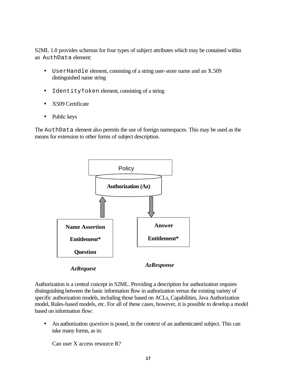S2ML 1.0 provides schemas for four types of subject attributes which may be contained within an AuthData element:

- UserHandle element, consisting of a string user-store name and an X.509 distinguished name string
- IdentityToken element, consisting of a string
- X509 Certificate
- Public keys

The AuthData element also permits the use of foreign namespaces. This may be used as the means for extension to other forms of subject description.



Authorization is a central concept in S2ML. Providing a description for authorization requires distinguishing between the basic information flow in authorization versus the existing variety of specific authorization models, including those based on ACLs, Capabilities, Java Authorization model, Rules-based models, etc. For all of these cases, however, it is possible to develop a model based on information flow:

• An authorization *question* is posed, in the context of an authenticated subject. This can take many forms, as in:

Can user X access resource R?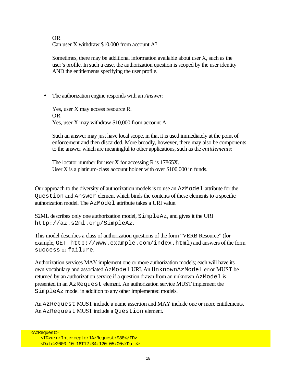OR Can user X withdraw \$10,000 from account A?

Sometimes, there may be additional information available about user X, such as the user's profile. In such a case, the authorization question is scoped by the user identity AND the entitlements specifying the user profile.

• The authorization engine responds with an *Answer*:

Yes, user X may access resource R. OR Yes, user X may withdraw \$10,000 from account A.

Such an answer may just have local scope, in that it is used immediately at the point of enforcement and then discarded. More broadly, however, there may also be components to the answer which are meaningful to other applications, such as the *entitlements*:

The locator number for user X for accessing R is 17865X. User X is a platinum-class account holder with over \$100,000 in funds.

Our approach to the diversity of authorization models is to use an AzModel attribute for the Question and Answer element which binds the contents of these elements to a specific authorization model. The AzModel attribute takes a URI value.

S2ML describes only one authorization model,  $SimpleAz$ , and gives it the URI http://az.s2ml.org/SimpleAz.

This model describes a class of authorization questions of the form "VERB Resource" (for example, GET http://www.example.com/index.html) and answers of the form success or failure.

Authorization services MAY implement one or more authorization models; each will have its own vocabulary and associated AzModel URI. An UnknownAzModel error MUST be returned by an authorization service if a question drawn from an unknown AzModel is presented in an AzRequest element. An authorization service MUST implement the SimpleAz model in addition to any other implemented models.

An AzRequest MUST include a name assertion and MAY include one or more entitlements. An AzRequest MUST include a Question element.

<AzRequest>

 <ID>urn:Interceptor1AzRequest:988</ID> <Date>2000-10—16T12:34:120-05:00</Date>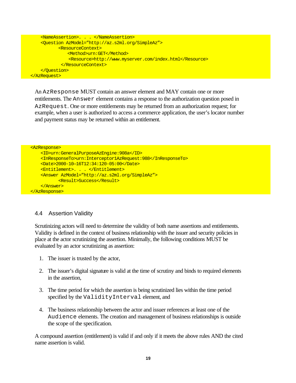```
 <NameAssertion>. . . </NameAssertion> 
     <Question AzModel="http://az.s2ml.org/SimpleAz">
            <ResourceContext>
                <Method>urn:GET</Method>
                <Resource>http://www.myserver.com/index.html</Resource>
             </ResourceContext>
     </Question>
</AzRequest>
```
An AzResponse MUST contain an answer element and MAY contain one or more entitlements. The Answer element contains a response to the authorization question posed in AzRequest. One or more entitlements may be returned from an authorization request; for example, when a user is authorized to access a commerce application, the user's locator number and payment status may be returned within an entitlement.

```
<AzResponse>
    <ID>urn:GeneralPurposeAzEngine:908a</ID>
    <InResponseTo>urn:Interceptor1AzRequest:988</InResponseTo> 
    <Date>2000-10—16T12:34:120-05:00</Date>
    <Entitlement>. . . </Entitlement> 
    <Answer AzModel="http://az.s2ml.org/SimpleAz">
            <Result>Success</Result>
    </Answer>
</AzResponse>
```
#### 4.4 Assertion Validity

Scrutinizing actors will need to determine the validity of both name assertions and entitlements. Validity is defined in the context of business relationship with the issuer and security policies in place at the actor scrutinizing the assertion. Minimally, the following conditions MUST be evaluated by an actor scrutinizing as assertion:

- 1. The issuer is trusted by the actor,
- 2. The issuer's digital signature is valid at the time of scrutiny and binds to required elements in the assertion,
- 3. The time period for which the assertion is being scrutinized lies within the time period specified by the ValidityInterval element, and
- 4. The business relationship between the actor and issuer references at least one of the Audience elements. The creation and management of business relationships is outside the scope of the specification.

A compound assertion (entitlement) is valid if and only if it meets the above rules AND the cited name assertion is valid.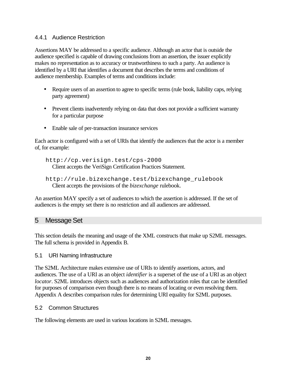#### 4.4.1 Audience Restriction

Assertions MAY be addressed to a specific audience. Although an actor that is outside the audience specified is capable of drawing conclusions from an assertion, the issuer explicitly makes no representation as to accuracy or trustworthiness to such a party. An audience is identified by a URI that identifies a document that describes the terms and conditions of audience membership. Examples of terms and conditions include:

- Require users of an assertion to agree to specific terms (rule book, liability caps, relying party agreement)
- Prevent clients inadvertently relying on data that does not provide a sufficient warranty for a particular purpose
- Enable sale of per-transaction insurance services

Each actor is configured with a set of URIs that identify the audiences that the actor is a member of, for example:

http://cp.verisign.test/cps-2000 Client accepts the VeriSign Certification Practices Statement.

```
http://rule.bizexchange.test/bizexchange_rulebook
  Client accepts the provisions of the bizexchange rulebook.
```
An assertion MAY specify a set of audiences to which the assertion is addressed. If the set of audiences is the empty set there is no restriction and all audiences are addressed.

#### 5 Message Set

This section details the meaning and usage of the XML constructs that make up S2ML messages. The full schema is provided in Appendix B.

#### 5.1 URI Naming Infrastructure

The S2ML Architecture makes extensive use of URIs to identify assertions, actors, and audiences. The use of a URI as an object *identifier* is a superset of the use of a URI as an object *locator*. S2ML introduces objects such as audiences and authorization roles that can be identified for purposes of comparison even though there is no means of locating or even resolving them. Appendix A describes comparison rules for determining URI equality for S2ML purposes.

#### 5.2 Common Structures

The following elements are used in various locations in S2ML messages.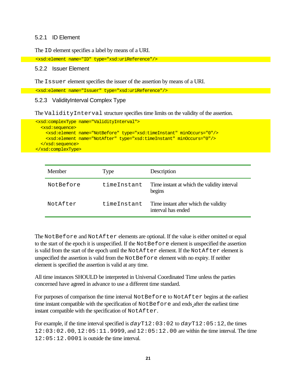#### 5.2.1 ID Element

The ID element specifies a label by means of a URI.

```
 <xsd:element name="ID" type="xsd:uriReference"/>
```
#### 5.2.2 Issuer Element

The Issuer element specifies the issuer of the assertion by means of a URI.

<xsd:element name="Issuer" type="xsd:uriReference"/>

#### 5.2.3 ValidityInterval Complex Type

The ValidityInterval structure specifies time limits on the validity of the assertion.

```
 <xsd:complexType name="ValidityInterval">
  <xsd:sequence>
     <xsd:element name="NotBefore" type="xsd:timeInstant" minOccurs="0"/>
     <xsd:element name="NotAfter" type="xsd:timeInstant" minOccurs="0"/>
  </xsd:sequence>
 </xsd:complexType>
```

| Member    | Type        | Description                                                 |
|-----------|-------------|-------------------------------------------------------------|
| NotBefore | timeInstant | Time instant at which the validity interval<br>begins       |
| NotAfter  | timeInstant | Time instant after which the validity<br>interval has ended |

The NotBefore and NotAfter elements are optional. If the value is either omitted or equal to the start of the epoch it is unspecified. If the NotBefore element is unspecified the assertion is valid from the start of the epoch until the NotAfter element. If the NotAfter element is unspecified the assertion is valid from the NotBefore element with no expiry. If neither element is specified the assertion is valid at any time.

All time instances SHOULD be interpreted in Universal Coordinated Time unless the parties concerned have agreed in advance to use a different time standard.

For purposes of comparison the time interval NotBefore to NotAfter begins at the earliest time instant compatible with the specification of NotBefore and ends after the earliest time instant compatible with the specification of NotAfter.

For example, if the time interval specified is *day*T12:03:02 to *day*T12:05:12, the times 12:03:02.00, 12:05:11.9999, and 12:05:12.00 are within the time interval. The time  $12:05:12.0001$  is outside the time interval.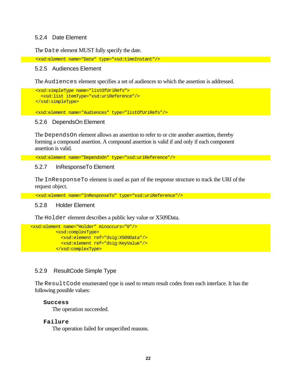#### 5.2.4 Date Element

The Date element MUST fully specify the date.

```
 <xsd:element name="Date" type="xsd:timeInstant"/>
```
#### 5.2.5 Audiences Element

The Audiences element specifies a set of audiences to which the assertion is addressed.

```
 <xsd:simpleType name="listOfUriRefs">
  <xsd:list itemType="xsd:uriReference"/>
 </xsd:simpleType>
```
<xsd:element name="Audiences" type="listOfUriRefs"/>

#### 5.2.6 DependsOn Element

The DependsOn element allows an assertion to refer to or cite another assertion, thereby forming a compound assertion. A compound assertion is valid if and only if each component assertion is valid.

<xsd:element name="DependsOn" type="xsd:uriReference"/>

#### 5.2.7 InResponseTo Element

The InResponseTo element is used as part of the response structure to track the URI of the request object.

<xsd:element name="InResponseTo" type="xsd:uriReference"/>

#### 5.2.8 Holder Element

The Holder element describes a public key value or X509Data.

```
<xsd:element name="Holder" minoccurs="0"/>
           <xsd:complexType>
             <xsd:element ref="dsig:X509Data"/>
             <xsd:element ref="dsig:KeyValue"/>
           </xsd:complexType>
```
#### 5.2.9 ResultCode Simple Type

The ResultCode enumerated type is used to return result codes from each interface. It has the following possible values:

#### **Success**

The operation succeeded.

#### **Failure**

The operation failed for unspecified reasons.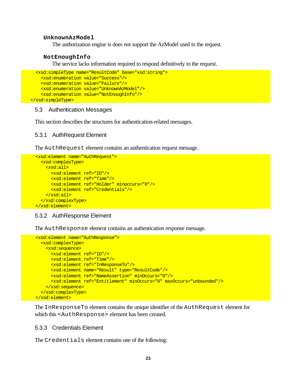#### **UnknownAzModel**

The authorization engine is does not support the AzModel used in the request.

#### **NotEnoughInfo**

The service lacks information required to respond definitively to the request.

```
 <xsd:simpleType name="ResultCode" base="xsd:string">
     <xsd:enumeration value="Success"/>
     <xsd:enumeration value="Failure"/>
     <xsd:enumeration value="UnknownAzModel"/>
     <xsd:enumeration value="NotEnoughInfo"/>
</xsd:simpleType>
```
#### 5.3 Authentication Messages

This section describes the structures for authentication-related messages.

#### 5.3.1 AuthRequest Element

The AuthRequest element contains an authentication request message.

```
 <xsd:element name="AuthRequest">
   <xsd:complexType>
    <xsd:all>
      <xsd:element ref="ID"/>
       <xsd:element ref="Time"/>
      <xsd:element ref="Holder" minoccurs="0"/> 
      <xsd:element ref="Credentials"/>
    </xsd:all>
  </xsd:complexType>
 </xsd:element>
```
#### 5.3.2 AuthResponse Element

The AuthResponse element contains an authentication response message.

```
 <xsd:element name="AuthResponse">
   <xsd:complexType>
     <xsd:sequence>
      <xsd:element ref="ID"/>
       <xsd:element ref="Time"/>
       <xsd:element ref="InResponseTo"/>
       <xsd:element name="Result" type="ResultCode"/>
       <xsd:element ref="NameAssertion" minOccurs="0"/>
      <xsd:element ref="Entitlement" minOccurs="0" maxOccurs="unbounded"/> 
    </xsd:sequence>
  </xsd:complexType>
 </xsd:element>
```
The InResponseTo element contains the unique identifier of the AuthRequest element for which this <AuthResponse> element has been created.

#### 5.3.3 Credentials Element

The Credentials element contains one of the following: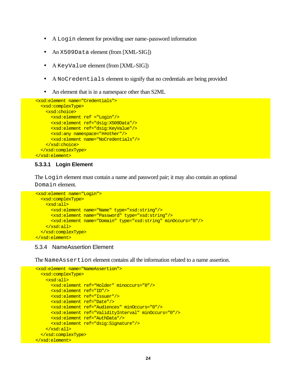- A Login element for providing user name-password information
- An X509Data element (from [XML-SIG])
- A KeyValue element (from [XML-SIG])
- A NoCredentials element to signify that no credentials are being provided
- An element that is in a namespace other than S2ML

```
 <xsd:element name="Credentials">
  <xsd:complexType>
     <xsd:choice>
       <xsd:element ref ="Login"/>
       <xsd:element ref="dsig:X509Data"/>
       <xsd:element ref="dsig:KeyValue"/>
       <xsd:any namespace="##other"/>
       <xsd:element name="NoCredentials"/> 
    </xsd:choice>
  </xsd:complexType>
 </xsd:element>
```
#### **5.3.3.1 Login Element**

The Login element must contain a name and password pair; it may also contain an optional Domain element.

```
 <xsd:element name="Login">
  <xsd:complexType>
     <xsd:all>
       <xsd:element name="Name" type="xsd:string"/>
       <xsd:element name="Password" type="xsd:string"/>
       <xsd:element name="Domain" type="xsd:string" minOccurs="0"/>
    </xsd:all>
  </xsd:complexType>
 </xsd:element>
```
#### 5.3.4 NameAssertion Element

The NameAssertion element contains all the information related to a name assertion.

```
 <xsd:element name="NameAssertion">
  <xsd:complexType>
     <xsd:all>
       <xsd:element ref="Holder" minoccurs="0"/>
       <xsd:element ref="ID"/>
       <xsd:element ref="Issuer"/>
       <xsd:element ref="Date"/>
       <xsd:element ref="Audiences" minOccurs="0"/>
       <xsd:element ref="ValidityInterval" minOccurs="0"/>
       <xsd:element ref="AuthData"/>
       <xsd:element ref="dsig:Signature"/> 
     </xsd:all>
  </xsd:complexType>
 </xsd:element>
```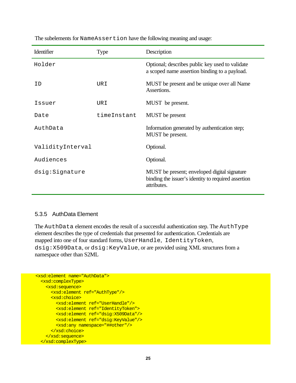| Identifier       | <b>Type</b> | Description                                                                                                        |
|------------------|-------------|--------------------------------------------------------------------------------------------------------------------|
| Holder           |             | Optional; describes public key used to validate<br>a scoped name assertion binding to a payload.                   |
| T D              | URI         | MUST be present and be unique over all Name<br>Assertions.                                                         |
| Issuer           | URI         | MUST be present.                                                                                                   |
| Date             | timeInstant | MUST be present                                                                                                    |
| AuthData         |             | Information generated by authentication step;<br>MUST be present.                                                  |
| ValidityInterval |             | Optional.                                                                                                          |
| Audiences        |             | Optional.                                                                                                          |
| dsig:Signature   |             | MUST be present; enveloped digital signature<br>binding the issuer's identity to required assertion<br>attributes. |

The subelements for NameAssertion have the following meaning and usage:

#### 5.3.5 AuthData Element

The AuthData element encodes the result of a successful authentication step. The AuthType element describes the type of credentials that presented for authentication. Credentials are mapped into one of four standard forms, UserHandle, IdentityToken, dsig:X509Data, or dsig:KeyValue, or are provided using XML structures from a namespace other than S2ML

```
 <xsd:element name="AuthData">
  <xsd:complexType>
    <xsd:sequence>
      <xsd:element ref="AuthType"/>
      <xsd:choice>
        <xsd:element ref="UserHandle"/>
         <xsd:element ref="IdentityToken">
        <xsd:element ref="dsig:X509Data"/>
        <xsd:element ref="dsig:KeyValue"/>
        <xsd:any namespace="##other"/>
      </xsd:choice> 
    </xsd:sequence>
  </xsd:complexType>
```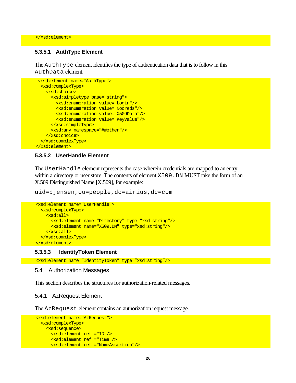</xsd:element>

#### **5.3.5.1 AuthType Element**

The AuthType element identifies the type of authentication data that is to follow in this AuthData element.

```
 <xsd:element name="AuthType">
  <xsd:complexType>
     <xsd:choice>
       <xsd:simpletype base="string">
         <xsd:enumeration value="Login"/>
         <xsd:enumeration value="Nocreds"/>
         <xsd:enumeration value="X509Data"/>
         <xsd:enumeration value="KeyValue"/>
       </xsd:simpleType>
       <xsd:any namespace="##other"/>
    </xsd:choice>
  </xsd:complexType>
 </xsd:element>
```
#### **5.3.5.2 UserHandle Element**

The UserHandle element represents the case wherein credentials are mapped to an entry within a directory or user store. The contents of element X509. DN MUST take the form of an X.509 Distinguished Name [X.509], for example:

uid=bjensen,ou=people,dc=airius,dc=com

```
 <xsd:element name="UserHandle">
  <xsd:complexType>
    <xsd:all>
       <xsd:element name="Directory" type="xsd:string"/>
       <xsd:element name="X509.DN" type="xsd:string"/> 
     </xsd:all>
  </xsd:complexType>
 </xsd:element>
```
#### **5.3.5.3 IdentityToken Element**

<xsd:element name="IdentityToken" type="xsd:string"/>

#### 5.4 Authorization Messages

This section describes the structures for authorization-related messages.

#### 5.4.1 AzRequest Element

The AzRequest element contains an authorization request message.

```
 <xsd:element name="AzRequest">
  <xsd:complexType>
    <xsd:sequence>
      <xsd:element ref ="ID"/>
       <xsd:element ref ="Time"/>
       <xsd:element ref ="NameAssertion"/>
```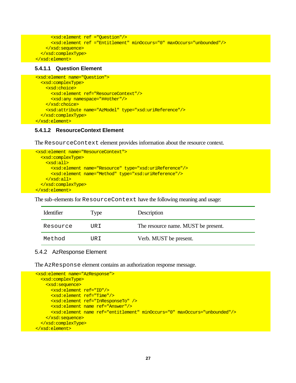```
 <xsd:element ref ="Question"/>
       <xsd:element ref ="Entitlement" minOccurs="0" maxOccurs="unbounded"/>
     </xsd:sequence>
  </xsd:complexType>
 </xsd:element>
```
#### **5.4.1.1 Question Element**

```
 <xsd:element name="Question">
   <xsd:complexType>
     <xsd:choice>
       <xsd:element ref="ResourceContext"/>
       <xsd:any namespace="##other"/>
     </xsd:choice>
     <xsd:attribute name="AzModel" type="xsd:uriReference"/>
   </xsd:complexType>
 </xsd:element>
```
#### **5.4.1.2 ResourceContext Element**

The ResourceContext element provides information about the resource context.

```
 <xsd:element name="ResourceContext">
  <xsd:complexType>
     <xsd:all>
       <xsd:element name="Resource" type="xsd:uriReference"/>
       <xsd:element name="Method" type="xsd:uriReference"/>
     </xsd:all>
  </xsd:complexType>
 </xsd:element>
```
The sub-elements for ResourceContext have the following meaning and usage:

| Identifier | Type  | Description                         |
|------------|-------|-------------------------------------|
| Resource   | TJR T | The resource name. MUST be present. |
| Method     | TJR T | Verb. MUST be present.              |

#### 5.4.2 AzResponse Element

The AzResponse element contains an authorization response message.

```
 <xsd:element name="AzResponse">
  <xsd:complexType>
     <xsd:sequence>
       <xsd:element ref="ID"/>
       <xsd:element ref="Time"/>
       <xsd:element ref="InResponseTo" /> 
       <xsd:element name ref="Answer"/>
       <xsd:element name ref="entitlement" minOccurs="0" maxOccurs="unbounded"/>
    </xsd:sequence>
  </xsd:complexType>
 </xsd:element>
```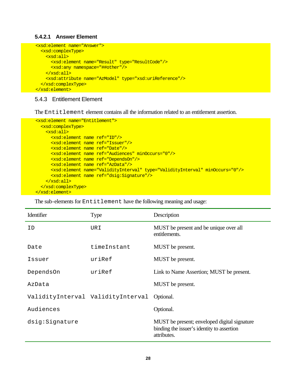#### **5.4.2.1 Answer Element**

```
 <xsd:element name="Answer">
   <xsd:complexType>
     <xsd:all>
       <xsd:element name="Result" type="ResultCode"/>
       <xsd:any namespace="##other"/>
     </xsd:all>
     <xsd:attribute name="AzModel" type="xsd:uriReference"/>
   </xsd:complexType>
 </xsd:element>
```
#### 5.4.3 Entitlement Element

The Entitlement element contains all the information related to an entitlement assertion.

```
 <xsd:element name="Entitlement">
   <xsd:complexType>
     <xsd:all>
      <xsd:element name ref="ID"/>
       <xsd:element name ref="Issuer"/>
       <xsd:element name ref="Date"/>
       <xsd:element name ref="Audiences" minOccurs="0"/>
       <xsd:element name ref="DependsOn"/>
       <xsd:element name ref="AzData"/>
      <xsd:element name="ValidityInterval" type="ValidityInterval" minOccurs="0"/>
      <xsd:element name ref="dsig:Signature"/>
     </xsd:all>
   </xsd:complexType>
 </xsd:element>
```
The sub-elements for  $Entilelement$  have the following meaning and usage:

| Identifier     | <b>Type</b>                       | Description                                                                                               |
|----------------|-----------------------------------|-----------------------------------------------------------------------------------------------------------|
| ID             | URI                               | MUST be present and be unique over all<br>entitlements.                                                   |
| Date           | timeInstant                       | MUST be present.                                                                                          |
| Issuer         | uriRef                            | MUST be present.                                                                                          |
| DependsOn      | uriRef                            | Link to Name Assertion; MUST be present.                                                                  |
| AzData         |                                   | MUST be present.                                                                                          |
|                | ValidityInterval ValidityInterval | Optional.                                                                                                 |
| Audiences      |                                   | Optional.                                                                                                 |
| dsig:Signature |                                   | MUST be present; enveloped digital signature<br>binding the issuer's identity to assertion<br>attributes. |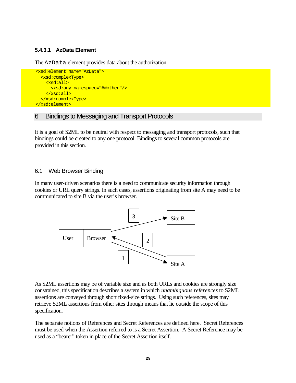#### **5.4.3.1 AzData Element**

The AzData element provides data about the authorization.

```
 <xsd:element name="AzData">
   <xsd:complexType>
     <xsd:all>
       <xsd:any namespace="##other"/>
     </xsd:all>
   </xsd:complexType>
 </xsd:element>
```
#### 6 Bindings to Messaging and Transport Protocols

It is a goal of S2ML to be neutral with respect to messaging and transport protocols, such that bindings could be created to any one protocol. Bindings to several common protocols are provided in this section.

#### 6.1 Web Browser Binding

In many user-driven scenarios there is a need to communicate security information through cookies or URL query strings. In such cases, assertions originating from site A may need to be communicated to site B via the user's browser.



As S2ML assertions may be of variable size and as both URLs and cookies are strongly size constrained, this specification describes a system in which *unambiguous references* to S2ML assertions are conveyed through short fixed-size strings. Using such references, sites may retrieve S2ML assertions from other sites through means that lie outside the scope of this specification.

The separate notions of References and Secret References are defined here. Secret References must be used when the Assertion referred to is a Secret Assertion. A Secret Reference may be used as a "bearer" token in place of the Secret Assertion itself.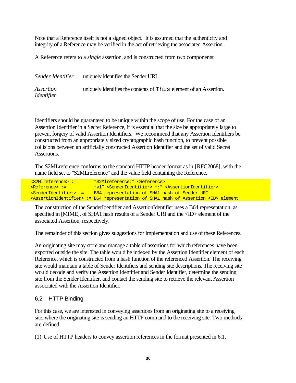Note that a Reference itself is not a signed object. It is assumed that the authenticity and integrity of a Reference may be verified in the act of retrieving the associated Assertion.

A Reference refers to a *single* assertion, and is constructed from two components:

| Sender Identifier              | uniquely identifies the Sender URI                                |
|--------------------------------|-------------------------------------------------------------------|
| Assertion<br><i>Identifier</i> | uniquely identifies the contents of This element of an Assertion. |

Identifiers should be guaranteed to be unique within the scope of use. For the case of an Assertion Identifier in a Secret Reference, it is essential that the size be appropriately large to prevent forgery of valid Assertion Identifiers. We recommend that any Assertion Identifiers be constructed from an appropriately sized cryptographic hash function, to prevent possible collisions between an artificially constructed Assertion Identifier and the set of valid Secret Assertions.

The S2MLreference conforms to the standard HTTP header format as in [RFC2068], with the name field set to "S2MLreference" and the value field containing the Reference.

<S2Mlreference> := "S2Mlreference:" <Reference> <Reference> := "v1" <SenderIdentifier> ":" <AssertionIdentifier> <SenderIdentifier> := B64 representation of SHA1 hash of Sender URI <AssertionIdentifier> := B64 representation of SHA1 hash of Assertion <ID> element

The construction of the SenderIdentifier and AssertionIdentifier uses a B64 representation, as specified in [MIME], of SHA1 hash results of a Sender URI and the <ID> element of the associated Assertion, respectively.

The remainder of this section gives suggestions for implementation and use of these References.

An originating site may store and manage a table of assertions for which references have been exported outside the site. The table would be indexed by the Assertion Identifier element of each Reference, which is constructed from a hash function of the referenced Assertion. The receiving site would maintain a table of Sender Identifiers and sending site descriptions. The receiving site would decode and verify the Assertion Identifier and Sender Identifier, determine the sending site from the Sender Identifier, and contact the sending site to retrieve the relevant Assertion associated with the Assertion Identifier.

#### 6.2 HTTP Binding

For this case, we are interested in conveying assertions from an originating site to a receiving site, where the originating site is sending an HTTP command to the receiving site. Two methods are defined:

(1) Use of HTTP headers to convey assertion references in the format presented in 6.1,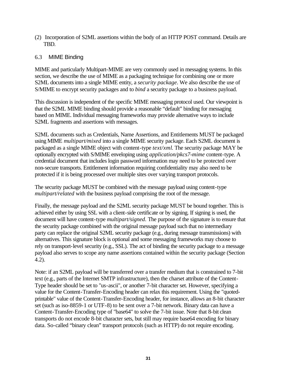(2) Incorporation of S2ML assertions within the body of an HTTP POST command. Details are TBD.

#### 6.3 MIME Binding

MIME and particularly Multipart-MIME are very commonly used in messaging systems. In this section, we describe the use of MIME as a packaging technique for combining one or more S2ML documents into a single MIME entity, a *security package*. We also describe the use of S/MIME to encrypt security packages and to *bind* a security package to a business payload.

This discussion is independent of the specific MIME messaging protocol used. Our viewpoint is that the S2ML MIME binding should provide a reasonable "default" binding for messaging based on MIME. Individual messaging frameworks may provide alternative ways to include S2ML fragments and assertions with messages.

S2ML documents such as Credentials, Name Assertions, and Entitlements MUST be packaged using MIME *multipart/mixed* into a single MIME security package. Each S2ML document is packaged as a single MIME object with content-type *text/xml*. The security package MAY be optionally encrypted with S/MIME enveloping using *application/pkcs7-mime* content-type. A credential document that includes login password information may need to be protected over non-secure transports. Entitlement information requiring confidentiality may also need to be protected if it is being processed over multiple sites over varying transport protocols.

The security package MUST be combined with the message payload using content-type *multipart/related* with the business payload comprising the root of the message.

Finally, the message payload and the S2ML security package MUST be bound together. This is achieved either by using SSL with a client-side certificate or by signing. If signing is used, the document will have content-type *multipart/signed*. The purpose of the signature is to ensure that the security package combined with the original message payload such that no intermediary party can replace the original S2ML security package (e.g., during message transmissions) with alternatives. This signature block is optional and some messaging frameworks may choose to rely on transport-level security (e.g., SSL). The act of binding the security package to a message payload also serves to scope any name assertions contained within the security package (Section 4.2).

Note: if an S2ML payload will be transferred over a transfer medium that is constrained to 7-bit text (e.g., parts of the Internet SMTP infrastructure), then the charset attribute of the Content-Type header should be set to "us-ascii", or another 7-bit character set. However, specifying a value for the Content-Transfer-Encoding header can relax this requirement. Using the "quotedprintable" value of the Content-Transfer-Encoding header, for instance, allows an 8-bit character set (such as iso-8859-1 or UTF-8) to be sent over a 7-bit network. Binary data can have a Content-Transfer-Encoding type of "base64" to solve the 7-bit issue. Note that 8-bit clean transports do not encode 8-bit character sets, but still may require base64 encoding for binary data. So-called "binary clean" transport protocols (such as HTTP) do not require encoding.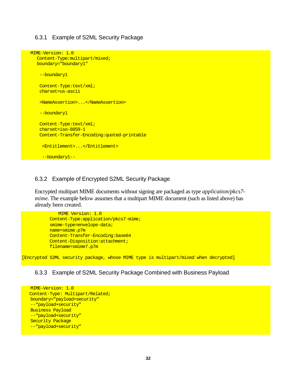#### 6.3.1 Example of S2ML Security Package

```
MIME-Version: 1.0
   Content-Type:multipart/mixed; 
   boundary="boundary1"
    --boundary1
    Content-Type:text/xml; 
    charset=us-ascii
    <NameAssertion>...</NameAssertion>
    --boundary1
    Content-Type:text/xml; 
    charset=iso-8859-1
    Content-Transfer-Encoding:quoted-printable
     <Entitlement>...</Entitlement>
     --boundary1--
```
#### 6.3.2 Example of Encrypted S2ML Security Package

Encrypted multipart MIME documents without signing are packaged as type *application/pkcs7 mime*. The example below assumes that a multipart MIME document (such as listed above) has already been created.

```
 MIME Version: 1.0
 Content-Type:application/pkcs7-mime;
 smime-type=envelope-data;
 name=smime.p7m
 Content-Transfer-Encoding:base64
 Content-Disposition:attachment;
 filename=smime7.p7m
```
[Encrypted S2ML security package, whose MIME type is multipart/mixed when decrypted]

#### 6.3.3 Example of S2ML Security Package Combined with Business Payload

```
MIME-Version: 1.0
 Content-Type: Multipart/Related;
boundary="payload+security"
--"payload+security"
Business Payload
--"payload+security"
Security Package
--"payload+security"
```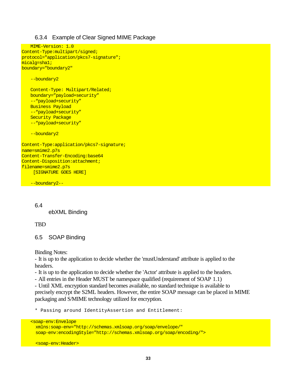#### 6.3.4 Example of Clear Signed MIME Package

```
MIME-Version: 1.0
Content-Type:multipart/signed;
protocol="application/pkcs7-signature";
micalg=sha1;
boundary="boundary2"
```
--boundary2

```
Content-Type: Multipart/Related;
boundary="payload+security"
--"payload+security"
Business Payload
--"payload+security"
Security Package
--"payload+security"
```
--boundary2

Content-Type:application/pkcs7-signature; name=smime2.p7s Content-Transfer-Encoding:base64 Content-Disposition:attachment; filename=smime2.p7s [SIGNATURE GOES HERE]

--boundary2--

6.4 ebXML Binding

**TBD** 

```
6.5 SOAP Binding
```
Binding Notes:

- It is up to the application to decide whether the 'mustUnderstand' attribute is applied to the headers.

- It is up to the application to decide whether the 'Actor' attribute is applied to the headers.

- All entries in the Header MUST be namespace qualified (requirement of SOAP 1.1)

- Until XML encryption standard becomes available, no standard technique is available to precisely encrypt the S2ML headers. However, the entire SOAP message can be placed in MIME packaging and S/MIME technology utilized for encryption.

\* Passing around IdentityAssertion and Entitlement:

<soap-env:Envelope

```
 xmlns:soap-env="http://schemas.xmlsoap.org/soap/envelope/"
 soap-env:encodingStyle="http://schemas.xmlsoap.org/soap/encoding/">
```
<soap-env:Header>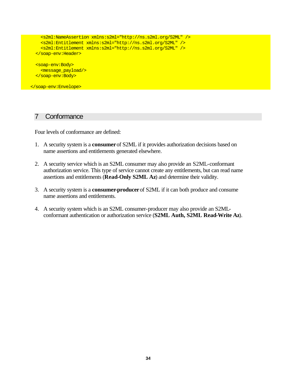```
 <s2ml:NameAssertion xmlns:s2ml="http://ns.s2ml.org/S2ML" />
     <s2ml:Entitlement xmlns:s2ml="http://ns.s2ml.org/S2ML" />
     <s2ml:Entitlement xmlns:s2ml="http://ns.s2ml.org/S2ML" />
   </soap-env:Header> 
   <soap-env:Body>
     <message_payload/>
   </soap-env:Body>
</soap-env:Envelope>
```
#### 7 Conformance

Four levels of conformance are defined:

- 1. A security system is a **consumer** of S2ML if it provides authorization decisions based on name assertions and entitlements generated elsewhere.
- 2. A security service which is an S2ML consumer may also provide an S2ML-conformant authorization service. This type of service cannot create any entitlements, but can read name assertions and entitlements (**Read-Only S2ML Az**) and determine their validity.
- 3. A security system is a **consumer-producer** of S2ML if it can both produce and consume name assertions and entitlements.
- 4. A security system which is an S2ML consumer-producer may also provide an S2MLconformant authentication or authorization service (**S2ML Auth, S2ML Read-Write Az**).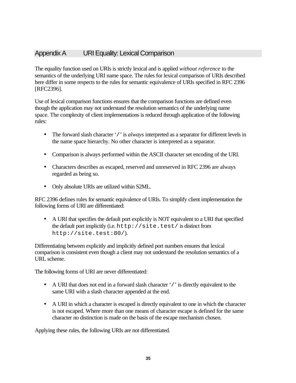#### Appendix A URI Equality: Lexical Comparison

The equality function used on URIs is strictly lexical and is applied *without reference* to the semantics of the underlying URI name space. The rules for lexical comparison of URIs described here differ in some respects to the rules for semantic equivalence of URIs specified in RFC 2396 [RFC2396].

Use of lexical comparison functions ensures that the comparison functions are defined even though the application may not understand the resolution semantics of the underlying name space. The complexity of client implementations is reduced through application of the following rules:

- The forward slash character '/' is *always* interpreted as a separator for different levels in the name space hierarchy. No other character is interpreted as a separator.
- Comparison is always performed within the ASCII character set encoding of the URI.
- Characters describes as escaped, reserved and unreserved in RFC 2396 are always regarded as being so.
- Only absolute URIs are utilized within S2ML.

RFC 2396 defines rules for semantic equivalence of URIs. To simplify client implementation the following forms of URI are differentiated:

• A URI that specifies the default port explicitly is NOT equivalent to a URI that specified the default port implicitly (i.e. http://site.test/ is distinct from http://site.test:80/).

Differentiating between explicitly and implicitly defined port numbers ensures that lexical comparison is consistent even though a client may not understand the resolution semantics of a URL scheme.

The following forms of URI are never differentiated:

- A URI that does not end in a forward slash character '/' is directly equivalent to the same URI with a slash character appended at the end.
- A URI in which a character is escaped is directly equivalent to one in which the character is not escaped. Where more than one means of character escape is defined for the same character no distinction is made on the basis of the escape mechanism chosen.

Applying these rules, the following URIs are not differentiated.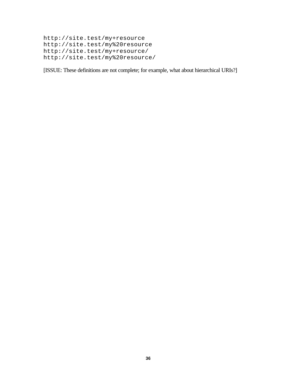```
http://site.test/my+resource
http://site.test/my%20resource
http://site.test/my+resource/
http://site.test/my%20resource/
```
[ISSUE: These definitions are not complete; for example, what about hierarchical URIs?]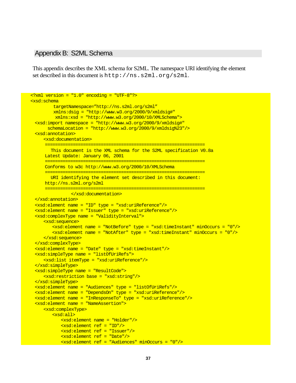#### Appendix B: S2ML Schema

This appendix describes the XML schema for S2ML. The namespace URI identifying the element set described in this document is http://ns.s2ml.org/s2ml.

```
\epsilon?xml version = "1.0" encoding = "UTF-8"?>
<xsd:schema 
          targetNamespace="http://ns.s2ml.org/s2ml"
          xmlns:dsig = "http://www.w3.org/2000/9/xmldsig#"
          xmlns:xsd = "http://www.w3.org/2000/10/XMLSchema">
 <xsd:import namespace = "http://www.w3.org/2000/9/xmldsig#"
      schemaLocation = "http://www.w3.org/2000/9/xmldsig823"/>
 <xsd:annotation>
     <xsd:documentation>
      ===============================================================
         This document is the XML schema for the S2ML specification V0.8a
      Latest Update: January 06, 2001
      ===============================================================
      Conforms to w3c http://www.w3.org/2000/10/XMLSchema
      ===============================================================
        URI identifying the element set described in this document:
      http://ns.s2ml.org/s2ml
      ===============================================================
                 </xsd:documentation>
 </xsd:annotation>
 <xsd:element name = "ID" type = "xsd:uriReference"/>
 <xsd:element name = "Issuer" type = "xsd:uriReference"/>
 <xsd:complexType name = "ValidityInterval">
     <xsd:sequence>
        <xsd:element name = "NotBefore" type = "xsd:timeInstant" minOccurs = "0"/>
        <xsd:element name = "NotAfter" type = "xsd:timeInstant" minOccurs = "0"/>
     </xsd:sequence>
 </xsd:complexType>
 <xsd:element name = "Date" type = "xsd:timeInstant"/>
 <xsd:simpleType name = "listOfUriRefs">
     <xsd:list itemType = "xsd:uriReference"/>
 </xsd:simpleType>
 <xsd:simpleType name = "ResultCode">
     <xsd:restriction base = "xsd:string"/>
 </xsd:simpleType>
 <xsd:element name = "Audiences" type = "listOfUriRefs"/>
 <xsd:element name = "DependsOn" type = "xsd:uriReference"/>
 <xsd:element name = "InResponseTo" type = "xsd:uriReference"/>
 <xsd:element name = "NameAssertion">
     <xsd:complexType>
        <xsd:all>
            <xsd:element name = "Holder"/>
            <xsd:element ref = "ID"/>
            <xsd:element ref = "Issuer"/>
            <xsd:element ref = "Date"/>
            <xsd:element ref = "Audiences" minOccurs = "0"/>
```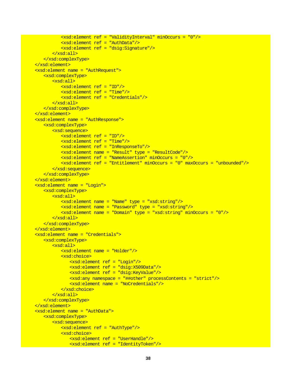```
<xsd:element ref = "ValidityInterval" minOccurs = "0"/>
          <xsd:element ref = "AuthData"/>
          <xsd:element ref = "dsig:Signature"/>
       </xsd:all>
   </xsd:complexType>
</xsd:element>
<xsd:element name = "AuthRequest">
   <xsd:complexType>
      <xsd:all>
          <xsd:element ref = "ID"/>
          <xsd:element ref = "Time"/>
          <xsd:element ref = "Credentials"/>
       </xsd:all>
   </xsd:complexType>
</xsd:element>
<xsd:element name = "AuthResponse">
   <xsd:complexType>
       <xsd:sequence>
          <xsd:element ref = "ID"/>
          <xsd:element ref = "Time"/>
          <xsd:element ref = "InResponseTo"/>
          <xsd:element name = "Result" type = "ResultCode"/>
          <xsd:element ref = "NameAssertion" minOccurs = "0"/>
          <xsd:element ref = "Entitlement" minOccurs = "0" maxOccurs = "unbounded"/>
      </xsd:sequence>
   </xsd:complexType>
</xsd:element>
<xsd:element name = "Login">
   <xsd:complexType>
       <xsd:all>
          <xsd:element name = "Name" type = "xsd:string"/>
          <xsd:element name = "Password" type = "xsd:string"/>
          <xsd:element name = "Domain" type = "xsd:string" minOccurs = "0"/>
       </xsd:all>
   </xsd:complexType>
</xsd:element>
<xsd:element name = "Credentials">
   <xsd:complexType>
       <xsd:all>
          <xsd:element name = "Holder"/>
          <xsd:choice>
             <xsd:element ref = "Login"/>
             <xsd:element ref = "dsig:X509Data"/>
              <xsd:element ref = "dsig:KeyValue"/>
              <xsd:any namespace = "##other" processContents = "strict"/>
              <xsd:element name = "NoCredentials"/>
          </xsd:choice>
       </xsd:all>
   </xsd:complexType>
</xsd:element>
<xsd:element name = "AuthData">
   <xsd:complexType>
      <xsd:sequence>
          <xsd:element ref = "AuthType"/>
          <xsd:choice>
              <xsd:element ref = "UserHandle"/>
             <xsd:element ref = "IdentityToken"/>
```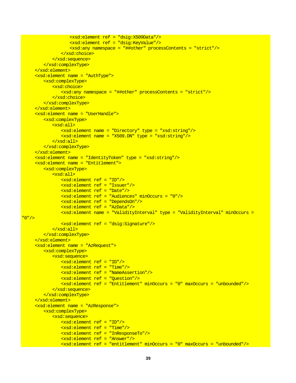```
<xsd:element ref = "dsig:X509Data"/>
                  <xsd:element ref = "dsig:KeyValue"/>
                  <xsd:any namespace = "##other" processContents = "strict"/>
               </xsd:choice>
           </xsd:sequence>
        </xsd:complexType>
    </xsd:element>
    <xsd:element name = "AuthType">
        <xsd:complexType>
           <xsd:choice>
               <xsd:any namespace = "##other" processContents = "strict"/>
           </xsd:choice>
        </xsd:complexType>
    </xsd:element>
    <xsd:element name = "UserHandle">
        <xsd:complexType>
           <xsd:all>
               <xsd:element name = "Directory" type = "xsd:string"/>
               <xsd:element name = "X509.DN" type = "xsd:string"/>
           </xsd:all>
        </xsd:complexType>
    </xsd:element>
    <xsd:element name = "IdentityToken" type = "xsd:string"/>
    <xsd:element name = "Entitlement">
        <xsd:complexType>
           <xsd:all>
               <xsd:element ref = "ID"/>
               <xsd:element ref = "Issuer"/>
               <xsd:element ref = "Date"/>
               <xsd:element ref = "Audiences" minOccurs = "0"/>
               <xsd:element ref = "DependsOn"/>
               <xsd:element ref = "AzData"/>
               <xsd:element name = "ValidityInterval" type = "ValidityInterval" minOccurs = 
"0"/>
               <xsd:element ref = "dsig:Signature"/>
           </xsd:all>
        </xsd:complexType>
    </xsd:element>
    <xsd:element name = "AzRequest">
        <xsd:complexType>
           <xsd:sequence>
               <xsd:element ref = "ID"/>
               <xsd:element ref = "Time"/>
               <xsd:element ref = "NameAssertion"/>
               <xsd:element ref = "Question"/>
               <xsd:element ref = "Entitlement" minOccurs = "0" maxOccurs = "unbounded"/>
           </xsd:sequence>
        </xsd:complexType>
    </xsd:element>
    <xsd:element name = "AzResponse">
        <xsd:complexType>
           <xsd:sequence>
               <xsd:element ref = "ID"/>
               <xsd:element ref = "Time"/>
               <xsd:element ref = "InResponseTo"/>
               <xsd:element ref = "Answer"/>
               <xsd:element ref = "entitlement" minOccurs = "0" maxOccurs = "unbounded"/>
```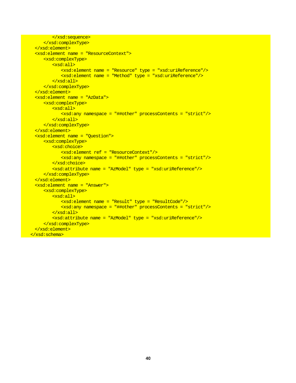```
</xsd:sequence>
     </xsd:complexType>
 </xsd:element>
 <xsd:element name = "ResourceContext">
     <xsd:complexType>
        <xsd:all>
            <xsd:element name = "Resource" type = "xsd:uriReference"/>
            <xsd:element name = "Method" type = "xsd:uriReference"/>
        </xsd:all>
     </xsd:complexType>
 </xsd:element>
 <xsd:element name = "AzData">
     <xsd:complexType>
        <xsd:all>
            <xsd:any namespace = "##other" processContents = "strict"/>
        </xsd:all>
     </xsd:complexType>
 </xsd:element>
 <xsd:element name = "Question">
     <xsd:complexType>
        <xsd:choice>
            <xsd:element ref = "ResourceContext"/>
            <xsd:any namespace = "##other" processContents = "strict"/>
        </xsd:choice>
        <xsd:attribute name = "AzModel" type = "xsd:uriReference"/>
     </xsd:complexType>
 </xsd:element>
 <xsd:element name = "Answer">
     <xsd:complexType>
        <xsd:all>
            <xsd:element name = "Result" type = "ResultCode"/>
            <xsd:any namespace = "##other" processContents = "strict"/>
        </xsd:all>
        <xsd:attribute name = "AzModel" type = "xsd:uriReference"/>
     </xsd:complexType>
 </xsd:element>
</xsd:schema>
```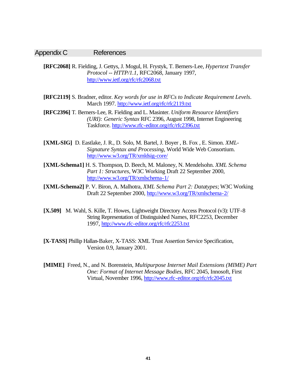#### Appendix C References

**[RFC2068]** R. Fielding, J. Gettys, J. Mogul, H. Frystyk, T. Berners-Lee, *Hypertext Transfer Protocol -- HTTP/1.1,* RFC2068, January 1997, http://www.ietf.org/rfc/rfc2068.txt

- **[RFC2119]** S. Bradner, editor. *Key words for use in RFCs to Indicate Requirement Levels*. March 1997. http://www.ietf.org/rfc/rfc2119.txt
- **[RFC2396]** T. Berners-Lee, R. Fielding and L. Masinter. *Uniform Resource Identifiers (URI): Generic Syntax* RFC 2396, August 1998, Internet Engineering Taskforce. http://www.rfc-editor.org/rfc/rfc2396.txt
- **[XML-SIG]** D. Eastlake, J. R., D. Solo, M. Bartel, J. Boyer , B. Fox , E. Simon. *XML-Signature Syntax and Processing*, World Wide Web Consortium. http://www.w3.org/TR/xmldsig-core/
- **[XML-Schema1]** H. S. Thompson, D. Beech, M. Maloney, N. Mendelsohn. *XML Schema Part 1: Structures*, W3C Working Draft 22 September 2000, http://www.w3.org/TR/xmlschema-1/
- **[XML-Schema2]** P. V. Biron, A. Malhotra, *XML Schema Part 2: Datatypes*; W3C Working Draft 22 September 2000, http://www.w3.org/TR/xmlschema-2/
- **[X.509]** M. Wahl, S. Kille, T. Howes, Lightweight Directory Access Protocol (v3): UTF-8 String Representation of Distinguished Names, RFC2253, December 1997, http://www.rfc-editor.org/rfc/rfc2253.txt
- **[X-TASS]** Phillip Hallan-Baker, X-TASS: XML Trust Assertion Service Specification, Version 0.9, January 2001.
- **[MIME]** Freed, N., and N. Borenstein, *Multipurpose Internet Mail Extensions (MIME) Part One: Format of Internet Message Bodies*, RFC 2045, Innosoft, First Virtual, November 1996, http://www.rfc-editor.org/rfc/rfc2045.txt